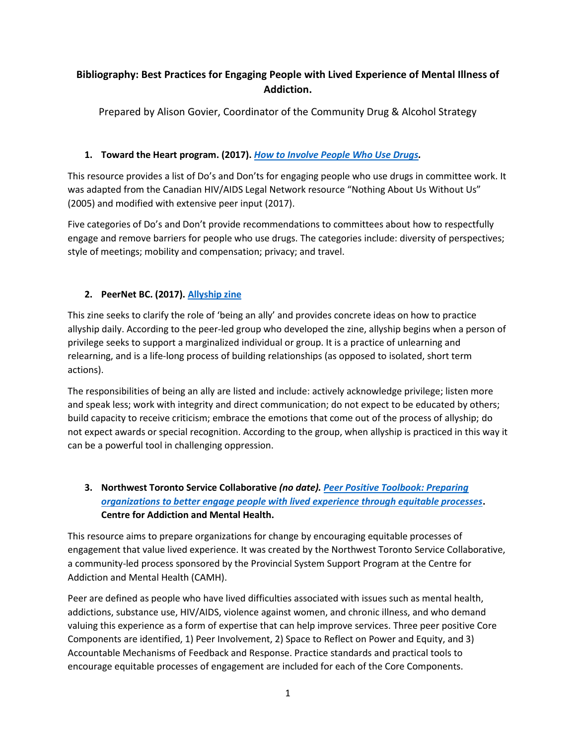# **Bibliography: Best Practices for Engaging People with Lived Experience of Mental Illness of Addiction.**

Prepared by Alison Govier, Coordinator of the Community Drug & Alcohol Strategy

## **1. Toward the Heart program. (2017).** *[How to Involve People Who Use Drugs.](https://towardtheheart.com/assets/uploads/15161442266vojisI05U2QPZPuPU4p56pnp6FOSjcoMnObC2L.pdf)*

This resource provides a list of Do's and Don'ts for engaging people who use drugs in committee work. It was adapted from the Canadian HIV/AIDS Legal Network resource "Nothing About Us Without Us" (2005) and modified with extensive peer input (2017).

Five categories of Do's and Don't provide recommendations to committees about how to respectfully engage and remove barriers for people who use drugs. The categories include: diversity of perspectives; style of meetings; mobility and compensation; privacy; and travel.

# **2. PeerNet BC. (2017)[. Allyship](http://www.peernetbc.com/what-is-allyship) zine**

This zine seeks to clarify the role of 'being an ally' and provides concrete ideas on how to practice allyship daily. According to the peer-led group who developed the zine, allyship begins when a person of privilege seeks to support a marginalized individual or group. It is a practice of unlearning and relearning, and is a life-long process of building relationships (as opposed to isolated, short term actions).

The responsibilities of being an ally are listed and include: actively acknowledge privilege; listen more and speak less; work with integrity and direct communication; do not expect to be educated by others; build capacity to receive criticism; embrace the emotions that come out of the process of allyship; do not expect awards or special recognition. According to the group, when allyship is practiced in this way it can be a powerful tool in challenging oppression.

# **3. Northwest Toronto Service Collaborative** *(no date). [Peer Positive Toolbook: Preparing](http://improvingsystems.ca/img/Peer-Positive-Toolbook-Final-November-24.pdf)  [organizations to better engage people with lived experience through equitable processes](http://improvingsystems.ca/img/Peer-Positive-Toolbook-Final-November-24.pdf)***. Centre for Addiction and Mental Health.**

This resource aims to prepare organizations for change by encouraging equitable processes of engagement that value lived experience. It was created by the Northwest Toronto Service Collaborative, a community-led process sponsored by the Provincial System Support Program at the Centre for Addiction and Mental Health (CAMH).

Peer are defined as people who have lived difficulties associated with issues such as mental health, addictions, substance use, HIV/AIDS, violence against women, and chronic illness, and who demand valuing this experience as a form of expertise that can help improve services. Three peer positive Core Components are identified, 1) Peer Involvement, 2) Space to Reflect on Power and Equity, and 3) Accountable Mechanisms of Feedback and Response. Practice standards and practical tools to encourage equitable processes of engagement are included for each of the Core Components.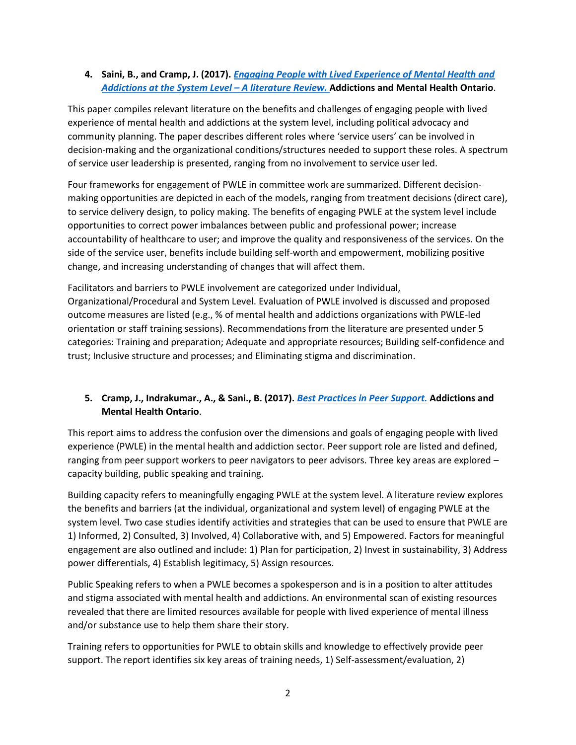#### **4. Saini, B., and Cramp, J. (2017).** *[Engaging People with Lived Experience of Mental Health and](https://amho.ca/wp-content/uploads/Best-Practices-in-Peer-Support-Final-Report-2017.pdf)  [Addictions at the System Level](https://amho.ca/wp-content/uploads/Best-Practices-in-Peer-Support-Final-Report-2017.pdf) – A literature Review.* **Addictions and Mental Health Ontario**.

This paper compiles relevant literature on the benefits and challenges of engaging people with lived experience of mental health and addictions at the system level, including political advocacy and community planning. The paper describes different roles where 'service users' can be involved in decision-making and the organizational conditions/structures needed to support these roles. A spectrum of service user leadership is presented, ranging from no involvement to service user led.

Four frameworks for engagement of PWLE in committee work are summarized. Different decisionmaking opportunities are depicted in each of the models, ranging from treatment decisions (direct care), to service delivery design, to policy making. The benefits of engaging PWLE at the system level include opportunities to correct power imbalances between public and professional power; increase accountability of healthcare to user; and improve the quality and responsiveness of the services. On the side of the service user, benefits include building self-worth and empowerment, mobilizing positive change, and increasing understanding of changes that will affect them.

Facilitators and barriers to PWLE involvement are categorized under Individual, Organizational/Procedural and System Level. Evaluation of PWLE involved is discussed and proposed outcome measures are listed (e.g., % of mental health and addictions organizations with PWLE-led orientation or staff training sessions). Recommendations from the literature are presented under 5 categories: Training and preparation; Adequate and appropriate resources; Building self-confidence and trust; Inclusive structure and processes; and Eliminating stigma and discrimination.

## **5. Cramp, J., Indrakumar., A., & Sani., B. (2017).** *[Best Practices in Peer Support.](http://eenet.ca/sites/default/files/wp-content/uploads/2014/08/Best-Practices-PeerSupport-Final-Report-2014.pdf)* **Addictions and Mental Health Ontario**.

This report aims to address the confusion over the dimensions and goals of engaging people with lived experience (PWLE) in the mental health and addiction sector. Peer support role are listed and defined, ranging from peer support workers to peer navigators to peer advisors. Three key areas are explored – capacity building, public speaking and training.

Building capacity refers to meaningfully engaging PWLE at the system level. A literature review explores the benefits and barriers (at the individual, organizational and system level) of engaging PWLE at the system level. Two case studies identify activities and strategies that can be used to ensure that PWLE are 1) Informed, 2) Consulted, 3) Involved, 4) Collaborative with, and 5) Empowered. Factors for meaningful engagement are also outlined and include: 1) Plan for participation, 2) Invest in sustainability, 3) Address power differentials, 4) Establish legitimacy, 5) Assign resources.

Public Speaking refers to when a PWLE becomes a spokesperson and is in a position to alter attitudes and stigma associated with mental health and addictions. An environmental scan of existing resources revealed that there are limited resources available for people with lived experience of mental illness and/or substance use to help them share their story.

Training refers to opportunities for PWLE to obtain skills and knowledge to effectively provide peer support. The report identifies six key areas of training needs, 1) Self-assessment/evaluation, 2)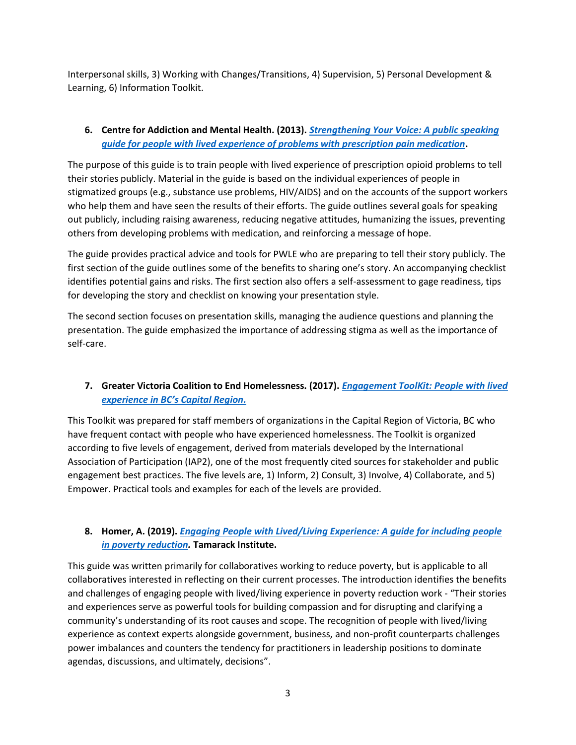Interpersonal skills, 3) Working with Changes/Transitions, 4) Supervision, 5) Personal Development & Learning, 6) Information Toolkit.

#### **6. Centre for Addiction and Mental Health. (2013).** *[Strengthening Your Voice: A public speaking](https://www.porticonetwork.ca/documents/77404/0/Strengthening+Your+Voice+Final.pdf/3829e0be-f4ae-42e1-8b1a-46df8f74df17)  [guide for people with lived experience of problems with prescription pain medication](https://www.porticonetwork.ca/documents/77404/0/Strengthening+Your+Voice+Final.pdf/3829e0be-f4ae-42e1-8b1a-46df8f74df17)***.**

The purpose of this guide is to train people with lived experience of prescription opioid problems to tell their stories publicly. Material in the guide is based on the individual experiences of people in stigmatized groups (e.g., substance use problems, HIV/AIDS) and on the accounts of the support workers who help them and have seen the results of their efforts. The guide outlines several goals for speaking out publicly, including raising awareness, reducing negative attitudes, humanizing the issues, preventing others from developing problems with medication, and reinforcing a message of hope.

The guide provides practical advice and tools for PWLE who are preparing to tell their story publicly. The first section of the guide outlines some of the benefits to sharing one's story. An accompanying checklist identifies potential gains and risks. The first section also offers a self-assessment to gage readiness, tips for developing the story and checklist on knowing your presentation style.

The second section focuses on presentation skills, managing the audience questions and planning the presentation. The guide emphasized the importance of addressing stigma as well as the importance of self-care.

## **7. Greater Victoria Coalition to End Homelessness. (2017).** *[Engagement ToolKit: People with lived](https://victoriahomelessness.ca/wp-content/uploads/2018/09/170630_crd_toolkit.pdf)  [experience in BC's Capital Region](https://victoriahomelessness.ca/wp-content/uploads/2018/09/170630_crd_toolkit.pdf).*

This Toolkit was prepared for staff members of organizations in the Capital Region of Victoria, BC who have frequent contact with people who have experienced homelessness. The Toolkit is organized according to five levels of engagement, derived from materials developed by the International Association of Participation (IAP2), one of the most frequently cited sources for stakeholder and public engagement best practices. The five levels are, 1) Inform, 2) Consult, 3) Involve, 4) Collaborate, and 5) Empower. Practical tools and examples for each of the levels are provided.

## **8. Homer, A. (2019).** *[Engaging People with Lived/Living Experience: A guide for including people](https://www.tamarackcommunity.ca/hubfs/Resources/Publications/10-Engaging%20People%20With%20LivedLiving%20Experience%20of%20Poverty.pdf)  [in poverty reduction.](https://www.tamarackcommunity.ca/hubfs/Resources/Publications/10-Engaging%20People%20With%20LivedLiving%20Experience%20of%20Poverty.pdf)* **Tamarack Institute.**

This guide was written primarily for collaboratives working to reduce poverty, but is applicable to all collaboratives interested in reflecting on their current processes. The introduction identifies the benefits and challenges of engaging people with lived/living experience in poverty reduction work - "Their stories and experiences serve as powerful tools for building compassion and for disrupting and clarifying a community's understanding of its root causes and scope. The recognition of people with lived/living experience as context experts alongside government, business, and non-profit counterparts challenges power imbalances and counters the tendency for practitioners in leadership positions to dominate agendas, discussions, and ultimately, decisions".